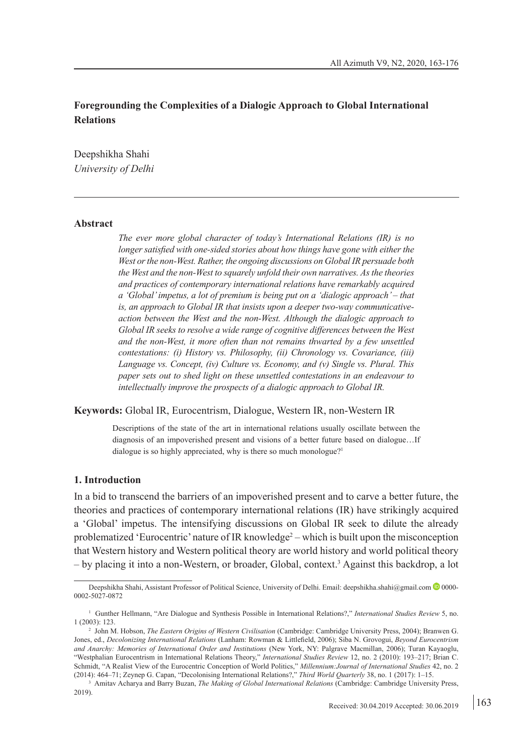# **Foregrounding the Complexities of a Dialogic Approach to Global International Relations**

Deepshikha Shahi *University of Delhi*

#### **Abstract**

*The ever more global character of today's International Relations (IR) is no longer satisfied with one-sided stories about how things have gone with either the West or the non-West. Rather, the ongoing discussions on Global IR persuade both the West and the non-West to squarely unfold their own narratives. As the theories and practices of contemporary international relations have remarkably acquired a 'Global' impetus, a lot of premium is being put on a 'dialogic approach' – that is, an approach to Global IR that insists upon a deeper two-way communicativeaction between the West and the non-West. Although the dialogic approach to Global IR seeks to resolve a wide range of cognitive differences between the West and the non-West, it more often than not remains thwarted by a few unsettled contestations: (i) History vs. Philosophy, (ii) Chronology vs. Covariance, (iii) Language vs. Concept, (iv) Culture vs. Economy, and (v) Single vs. Plural. This paper sets out to shed light on these unsettled contestations in an endeavour to intellectually improve the prospects of a dialogic approach to Global IR.*

#### **Keywords:** Global IR, Eurocentrism, Dialogue, Western IR, non-Western IR

Descriptions of the state of the art in international relations usually oscillate between the diagnosis of an impoverished present and visions of a better future based on dialogue…If dialogue is so highly appreciated, why is there so much monologue?<sup>1</sup>

### **1. Introduction**

In a bid to transcend the barriers of an impoverished present and to carve a better future, the theories and practices of contemporary international relations (IR) have strikingly acquired a 'Global' impetus. The intensifying discussions on Global IR seek to dilute the already problematized 'Eurocentric' nature of IR knowledge<sup>2</sup> – which is built upon the misconception that Western history and Western political theory are world history and world political theory – by placing it into a non-Western, or broader, Global, context.3 Against this backdrop, a lot

Deepshikha Shahi, Assistant Professor of Political Science, University of Delhi. Email: deepshikha.shahi@gmail.com <sup>1</sup>0000-0002-5027-0872

<sup>&</sup>lt;sup>1</sup> Gunther Hellmann, "Are Dialogue and Synthesis Possible in International Relations?," *International Studies Review* 5, no. 1 (2003): 123. 2

John M. Hobson, *The Eastern Origins of Western Civilisation* (Cambridge: Cambridge University Press, 2004); Branwen G. Jones, ed., *Decolonizing International Relations* (Lanham: Rowman & Littlefield, 2006); Siba N. Grovogui, *Beyond Eurocentrism and Anarchy: Memories of International Order and Institutions* (New York, NY: Palgrave Macmillan, 2006); Turan Kayaoglu, "Westphalian Eurocentrism in International Relations Theory," *International Studies Review* 12, no. 2 (2010): 193–217; Brian C. Schmidt, "A Realist View of the Eurocentric Conception of World Politics," *Millennium:Journal of International Studies* 42, no. 2 (2014): 464–71; Zeynep G. Capan, "Decolonising International Relations?," *Third World Quarterly* 38, no. 1 (2017): 1–15.

<sup>&</sup>lt;sup>3</sup> Amitav Acharya and Barry Buzan, *The Making of Global International Relations* (Cambridge: Cambridge University Press, 2019).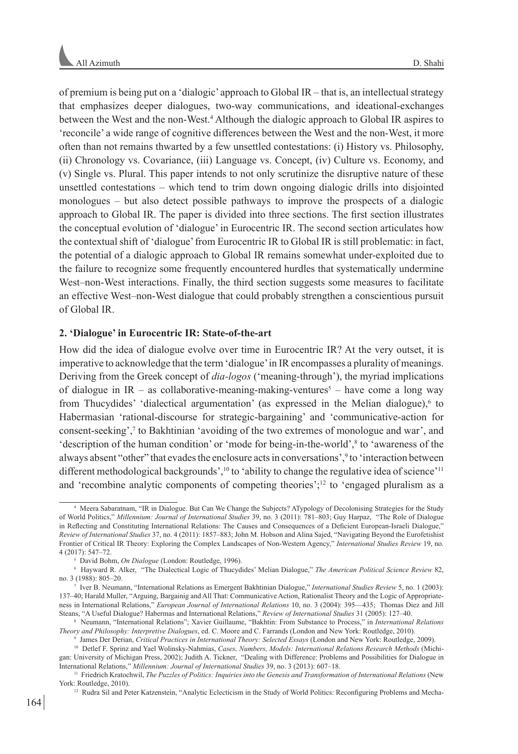of premium is being put on a 'dialogic' approach to Global IR – that is, an intellectual strategy that emphasizes deeper dialogues, two-way communications, and ideational-exchanges between the West and the non-West.4 Although the dialogic approach to Global IR aspires to 'reconcile' a wide range of cognitive differences between the West and the non-West, it more often than not remains thwarted by a few unsettled contestations: (i) History vs. Philosophy, (ii) Chronology vs. Covariance, (iii) Language vs. Concept, (iv) Culture vs. Economy, and (v) Single vs. Plural. This paper intends to not only scrutinize the disruptive nature of these unsettled contestations – which tend to trim down ongoing dialogic drills into disjointed monologues – but also detect possible pathways to improve the prospects of a dialogic approach to Global IR. The paper is divided into three sections. The first section illustrates the conceptual evolution of 'dialogue' in Eurocentric IR. The second section articulates how the contextual shift of 'dialogue' from Eurocentric IR to Global IR is still problematic: in fact, the potential of a dialogic approach to Global IR remains somewhat under-exploited due to the failure to recognize some frequently encountered hurdles that systematically undermine West–non-West interactions. Finally, the third section suggests some measures to facilitate an effective West–non-West dialogue that could probably strengthen a conscientious pursuit of Global IR.

## **2. 'Dialogue' in Eurocentric IR: State-of-the-art**

How did the idea of dialogue evolve over time in Eurocentric IR? At the very outset, it is imperative to acknowledge that the term 'dialogue' in IR encompasses a plurality of meanings. Deriving from the Greek concept of *dia-logos* ('meaning-through'), the myriad implications of dialogue in  $IR - as$  collaborative-meaning-making-ventures<sup>5</sup> – have come a long way from Thucydides' 'dialectical argumentation' (as expressed in the Melian dialogue), $6$  to Habermasian 'rational-discourse for strategic-bargaining' and 'communicative-action for consent-seeking',<sup>7</sup> to Bakhtinian 'avoiding of the two extremes of monologue and war', and 'description of the human condition' or 'mode for being-in-the-world',<sup>8</sup> to 'awareness of the always absent "other" that evades the enclosure acts in conversations',<sup>9</sup> to 'interaction between different methodological backgrounds',<sup>10</sup> to 'ability to change the regulative idea of science'<sup>11</sup> and 'recombine analytic components of competing theories';<sup>12</sup> to 'engaged pluralism as a

<sup>4</sup> Meera Sabaratnam, "IR in Dialogue. But Can We Change the Subjects? ATypology of Decolonising Strategies for the Study of World Politics," *Millennium: Journal of International Studies* 39, no. 3 (2011): 781–803; Guy Harpaz, "The Role of Dialogue in Reflecting and Constituting International Relations: The Causes and Consequences of a Deficient European-Israeli Dialogue," *Review of International Studies* 37, no. 4 (2011): 1857–883; John M. Hobson and Alina Sajed, "Navigating Beyond the Eurofetishist Frontier of Critical IR Theory: Exploring the Complex Landscapes of Non-Western Agency," *International Studies Review* 19, no. 4 (2017): 547–72.

<sup>5</sup> David Bohm, *On Dialogue* (London: Routledge, 1996).

<sup>6</sup> Hayward R. Alker, "The Dialectical Logic of Thucydides' Melian Dialogue," *The American Political Science Review* 82, no. 3 (1988): 805–20.

<sup>7</sup> Iver B. Neumann, "International Relations as Emergent Bakhtinian Dialogue," *International Studies Review* 5, no. 1 (2003): 137–40; Harald Muller, "Arguing, Bargainig and All That: Communicative Action, Rationalist Theory and the Logic of Appropriateness in International Relations," *European Journal of International Relations* 10, no. 3 (2004): 395—435; Thomas Diez and Jill Steans, "A Useful Dialogue? Habermas and International Relations," *Review of International Studies* 31 (2005): 127–40.

<sup>8</sup> Neumann, "International Relations"; Xavier Guillaume, "Bakhtin: From Substance to Process," in *International Relations Theory and Philosophy: Interpretive Dialogues*, ed. C. Moore and C. Farrands (London and New York: Routledge, 2010). 9

James Der Derian, *Critical Practices in International Theory: Selected Essays* (London and New York: Routledge, 2009).

<sup>10</sup> Detlef F. Sprinz and Yael Wolinsky-Nahmias, *Cases, Numbers, Models: International Relations Research Methods* (Michigan: University of Michigan Press, 2002); Judith A. Tickner, "Dealing with Difference: Problems and Possibilities for Dialogue in International Relations," *Millennium: Journal of International Studies* 39, no. 3 (2013): 607–18.

<sup>11</sup> Friedrich Kratochwil, *The Puzzles of Politics: Inquiries into the Genesis and Transformation of International Relations* (New York: Routledge, 2010).

<sup>&</sup>lt;sup>12</sup> Rudra Sil and Peter Katzenstein, "Analytic Eclecticism in the Study of World Politics: Reconfiguring Problems and Mecha-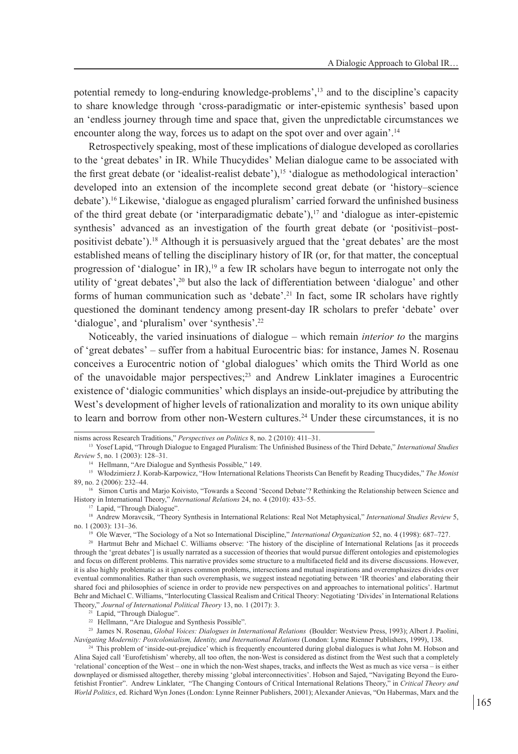potential remedy to long-enduring knowledge-problems',<sup>13</sup> and to the discipline's capacity to share knowledge through 'cross-paradigmatic or inter-epistemic synthesis' based upon an 'endless journey through time and space that, given the unpredictable circumstances we encounter along the way, forces us to adapt on the spot over and over again'.<sup>14</sup>

Retrospectively speaking, most of these implications of dialogue developed as corollaries to the 'great debates' in IR. While Thucydides' Melian dialogue came to be associated with the first great debate (or 'idealist-realist debate'),<sup>15</sup> 'dialogue as methodological interaction' developed into an extension of the incomplete second great debate (or 'history–science debate').<sup>16</sup> Likewise, 'dialogue as engaged pluralism' carried forward the unfinished business of the third great debate (or 'interparadigmatic debate'), $\frac{17}{2}$  and 'dialogue as inter-epistemic synthesis' advanced as an investigation of the fourth great debate (or 'positivist–postpositivist debate').<sup>18</sup> Although it is persuasively argued that the 'great debates' are the most established means of telling the disciplinary history of IR (or, for that matter, the conceptual progression of 'dialogue' in IR),<sup>19</sup> a few IR scholars have begun to interrogate not only the utility of 'great debates',<sup>20</sup> but also the lack of differentiation between 'dialogue' and other forms of human communication such as 'debate'.<sup>21</sup> In fact, some IR scholars have rightly questioned the dominant tendency among present-day IR scholars to prefer 'debate' over 'dialogue', and 'pluralism' over 'synthesis'.<sup>22</sup>

Noticeably, the varied insinuations of dialogue – which remain *interior to* the margins of 'great debates' – suffer from a habitual Eurocentric bias: for instance, James N. Rosenau conceives a Eurocentric notion of 'global dialogues' which omits the Third World as one of the unavoidable major perspectives;<sup>23</sup> and Andrew Linklater imagines a Eurocentric existence of 'dialogic communities' which displays an inside-out-prejudice by attributing the West's development of higher levels of rationalization and morality to its own unique ability to learn and borrow from other non-Western cultures.<sup>24</sup> Under these circumstances, it is no

<sup>23</sup> James N. Rosenau, *Global Voices: Dialogues in International Relations* (Boulder: Westview Press, 1993); Albert J. Paolini, Navigating Modernity: Postcolonialism, Identity, and International Relations (London: Lynne R

nisms across Research Traditions," *Perspectives on Politics* 8, no. 2 (2010): 411–31. 13 Yosef Lapid, "Through Dialogue to Engaged Pluralism: The Unfinished Business of the Third Debate," *International Studies Review* 5, no. 1 (2003): 128–31.

<sup>14</sup> Hellmann, "Are Dialogue and Synthesis Possible," 149.

<sup>15</sup> Włodzimierz J. Korab-Karpowicz, "How International Relations Theorists Can Benefit by Reading Thucydides," *The Monist*

<sup>&</sup>lt;sup>16</sup> Simon Curtis and Marjo Koivisto, "Towards a Second 'Second Debate'? Rethinking the Relationship between Science and History in International Theory," *International Relations* 24, no. 4 (2010): 433–55.

<sup>&</sup>lt;sup>1</sup> Lapid, "Through Dialogue"

<sup>18</sup> Andrew Moravcsik, "Theory Synthesis in International Relations: Real Not Metaphysical," *International Studies Review* 5, no. 1 (2003): 131–36.

<sup>19</sup> Ole Wæver, "The Sociology of a Not so International Discipline," *International Organization* 52, no. 4 (1998): 687–727.

<sup>&</sup>lt;sup>20</sup> Hartmut Behr and Michael C. Williams observe: 'The history of the discipline of International Relations [as it proceeds through the 'great debates'] is usually narrated as a succession of theories that would pursue different ontologies and epistemologies and focus on different problems. This narrative provides some structure to a multifaceted field and its diverse discussions. However, it is also highly problematic as it ignores common problems, intersections and mutual inspirations and overemphasizes divides over eventual commonalities. Rather than such overemphasis, we suggest instead negotiating between 'IR theories' and elaborating their shared foci and philosophies of science in order to provide new perspectives on and approaches to international politics'. Hartmut Behr and Michael C. Williams, "Interlocuting Classical Realism and Critical Theory: Negotiating 'Divides' in International Relations Theory," *Journal of International Political Theory* 13, no. 1 (2017): 3.

Lapid, "Through Dialogue".

<sup>&</sup>lt;sup>22</sup> Hellmann, "Are Dialogue and Synthesis Possible".

<sup>&</sup>lt;sup>24</sup> This problem of 'inside-out-prejudice' which is frequently encountered during global dialogues is what John M. Hobson and Alina Sajed call 'Eurofetishism' whereby, all too often, the non-West is considered as distinct from the West such that a completely 'relational' conception of the West – one in which the non-West shapes, tracks, and inflects the West as much as vice versa – is either downplayed or dismissed altogether, thereby missing 'global interconnectivities'. Hobson and Sajed, "Navigating Beyond the Eurofetishist Frontier". Andrew Linklater, "The Changing Contours of Critical International Relations Theory," in *Critical Theory and World Politics*, ed. Richard Wyn Jones (London: Lynne Reinner Publishers, 2001); Alexander Anievas, "On Habermas, Marx and the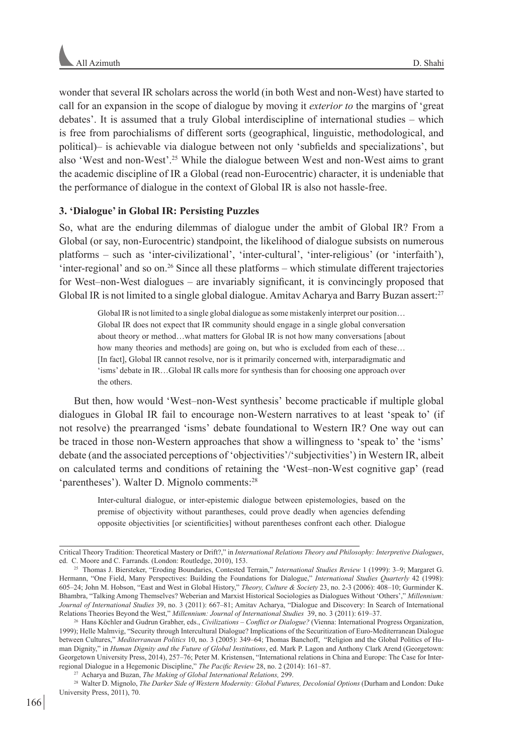wonder that several IR scholars across the world (in both West and non-West) have started to call for an expansion in the scope of dialogue by moving it *exterior to* the margins of 'great debates'. It is assumed that a truly Global interdiscipline of international studies – which is free from parochialisms of different sorts (geographical, linguistic, methodological, and political)– is achievable via dialogue between not only 'subfields and specializations', but also 'West and non-West'.25 While the dialogue between West and non-West aims to grant the academic discipline of IR a Global (read non-Eurocentric) character, it is undeniable that the performance of dialogue in the context of Global IR is also not hassle-free.

### **3. 'Dialogue' in Global IR: Persisting Puzzles**

So, what are the enduring dilemmas of dialogue under the ambit of Global IR? From a Global (or say, non-Eurocentric) standpoint, the likelihood of dialogue subsists on numerous platforms – such as 'inter-civilizational', 'inter-cultural', 'inter-religious' (or 'interfaith'),  $'inter-regular'$  and so on.<sup>26</sup> Since all these platforms – which stimulate different trajectories for West–non-West dialogues – are invariably significant, it is convincingly proposed that Global IR is not limited to a single global dialogue. Amitav Acharya and Barry Buzan assert:<sup>27</sup>

Global IR is not limited to a single global dialogue as some mistakenly interpret our position… Global IR does not expect that IR community should engage in a single global conversation about theory or method…what matters for Global IR is not how many conversations [about how many theories and methods] are going on, but who is excluded from each of these… [In fact], Global IR cannot resolve, nor is it primarily concerned with, interparadigmatic and 'isms' debate in IR…Global IR calls more for synthesis than for choosing one approach over the others.

But then, how would 'West–non-West synthesis' become practicable if multiple global dialogues in Global IR fail to encourage non-Western narratives to at least 'speak to' (if not resolve) the prearranged 'isms' debate foundational to Western IR? One way out can be traced in those non-Western approaches that show a willingness to 'speak to' the 'isms' debate (and the associated perceptions of 'objectivities'/'subjectivities') in Western IR, albeit on calculated terms and conditions of retaining the 'West–non-West cognitive gap' (read 'parentheses'). Walter D. Mignolo comments:<sup>28</sup>

Inter-cultural dialogue, or inter-epistemic dialogue between epistemologies, based on the premise of objectivity without parantheses, could prove deadly when agencies defending opposite objectivities [or scientificities] without parentheses confront each other. Dialogue

Critical Theory Tradition: Theoretical Mastery or Drift?," in *International Relations Theory and Philosophy: Interpretive Dialogues*, ed. C. Moore and C. Farrands. (London: Routledge, 2010), 153.

<sup>25</sup> Thomas J. Biersteker, "Eroding Boundaries, Contested Terrain," *International Studies Review* 1 (1999): 3–9; Margaret G. Hermann, "One Field, Many Perspectives: Building the Foundations for Dialogue," *International Studies Quarterly* 42 (1998): 605–24; John M. Hobson, "East and West in Global History," *Theory, Culture & Society* 23, no. 2-3 (2006): 408–10; Gurminder K. Bhambra, "Talking Among Themselves? Weberian and Marxist Historical Sociologies as Dialogues Without 'Others'," *Millennium: Journal of International Studies* 39, no. 3 (2011): 667–81; Amitav Acharya, "Dialogue and Discovery: In Search of International Relations Theories Beyond the West," *Millennium: Journal of International Studies* 39, no. 3 (2011): 619–37.

<sup>26</sup> Hans Köchler and Gudrun Grabher, eds., *Civilizations – Conflict or Dialogue?* (Vienna: International Progress Organization, 1999); Helle Malmvig, "Security through Intercultural Dialogue? Implications of the Securitization of Euro-Mediterranean Dialogue between Cultures," *Mediterranean Politics* 10, no. 3 (2005): 349–64; Thomas Banchoff, "Religion and the Global Politics of Human Dignity," in *Human Dignity and the Future of Global Institutions*, ed. Mark P. Lagon and Anthony Clark Arend (Georgetown: Georgetown University Press, 2014), 257–76; Peter M. Kristensen, "International relations in China and Europe: The Case for Interregional Dialogue in a Hegemonic Discipline," *The Pacific Review* 28, no. 2 (2014): 161–87. 27 Acharya and Buzan, *The Making of Global International Relations,* 299.

<sup>28</sup> Walter D. Mignolo, *The Darker Side of Western Modernity: Global Futures, Decolonial Options* (Durham and London: Duke University Press, 2011), 70.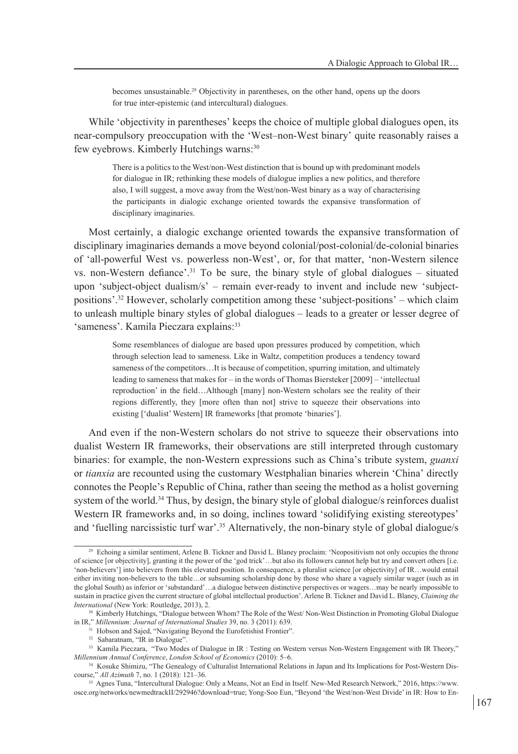becomes unsustainable.<sup>29</sup> Objectivity in parentheses, on the other hand, opens up the doors for true inter-epistemic (and intercultural) dialogues.

While 'objectivity in parentheses' keeps the choice of multiple global dialogues open, its near-compulsory preoccupation with the 'West–non-West binary' quite reasonably raises a few eyebrows. Kimberly Hutchings warns:<sup>30</sup>

There is a politics to the West/non-West distinction that is bound up with predominant models for dialogue in IR; rethinking these models of dialogue implies a new politics, and therefore also, I will suggest, a move away from the West/non-West binary as a way of characterising the participants in dialogic exchange oriented towards the expansive transformation of disciplinary imaginaries.

Most certainly, a dialogic exchange oriented towards the expansive transformation of disciplinary imaginaries demands a move beyond colonial/post-colonial/de-colonial binaries of 'all-powerful West vs. powerless non-West', or, for that matter, 'non-Western silence vs. non-Western defiance'.31 To be sure, the binary style of global dialogues – situated upon 'subject-object dualism/s' – remain ever-ready to invent and include new 'subjectpositions'.<sup>32</sup> However, scholarly competition among these 'subject-positions' – which claim to unleash multiple binary styles of global dialogues – leads to a greater or lesser degree of 'sameness'. Kamila Pieczara explains: 33

Some resemblances of dialogue are based upon pressures produced by competition, which through selection lead to sameness. Like in Waltz, competition produces a tendency toward sameness of the competitors…It is because of competition, spurring imitation, and ultimately leading to sameness that makes for – in the words of Thomas Biersteker [2009] – 'intellectual reproduction' in the field…Although [many] non-Western scholars see the reality of their regions differently, they [more often than not] strive to squeeze their observations into existing ['dualist' Western] IR frameworks [that promote 'binaries'].

And even if the non-Western scholars do not strive to squeeze their observations into dualist Western IR frameworks, their observations are still interpreted through customary binaries: for example, the non-Western expressions such as China's tribute system, *guanxi*  or *tianxia* are recounted using the customary Westphalian binaries wherein 'China' directly connotes the People's Republic of China, rather than seeing the method as a holist governing system of the world.<sup>34</sup> Thus, by design, the binary style of global dialogue/s reinforces dualist Western IR frameworks and, in so doing, inclines toward 'solidifying existing stereotypes' and 'fuelling narcissistic turf war'.35 Alternatively, the non-binary style of global dialogue/s

<sup>&</sup>lt;sup>29</sup> Echoing a similar sentiment, Arlene B. Tickner and David L. Blaney proclaim: 'Neopositivism not only occupies the throne of science [or objectivity], granting it the power of the 'god trick'…but also its followers cannot help but try and convert others [i.e. 'non-believers'] into believers from this elevated position. In consequence, a pluralist science [or objectivity] of IR…would entail either inviting non-believers to the table…or subsuming scholarship done by those who share a vaguely similar wager (such as in the global South) as inferior or 'substandard'…a dialogue between distinctive perspectives or wagers…may be nearly impossible to sustain in practice given the current structure of global intellectual production'. Arlene B. Tickner and David L. Blaney, *Claiming the International* (New York: Routledge, 2013), 2.

<sup>30</sup> Kimberly Hutchings, "Dialogue between Whom? The Role of the West/ Non-West Distinction in Promoting Global Dialogue in IR," *Millennium: Journal of International Studies* 39, no. 3 (2011): 639.

<sup>&</sup>lt;sup>31</sup> Hobson and Sajed, "Navigating Beyond the Eurofetishist Frontier".

<sup>&</sup>lt;sup>32</sup> Sabaratnam, "IR in Dialogue"

<sup>&</sup>lt;sup>33</sup> Kamila Pieczara, "Two Modes of Dialogue in IR: Testing on Western versus Non-Western Engagement with IR Theory," *Millennium Annual Conference*, *London School of Economics* (2010): 5–6.

<sup>&</sup>lt;sup>34</sup> Kosuke Shimizu, "The Genealogy of Culturalist International Relations in Japan and Its Implications for Post-Western Discourse," *All Azimuth* 7, no. 1 (2018): 121–36.

<sup>35</sup> Agnes Tuna, "Intercultural Dialogue: Only a Means, Not an End in Itself. New-Med Research Network," 2016, https://www. osce.org/networks/newmedtrackII/292946?download=true; Yong-Soo Eun, "Beyond 'the West/non-West Divide' in IR: How to En-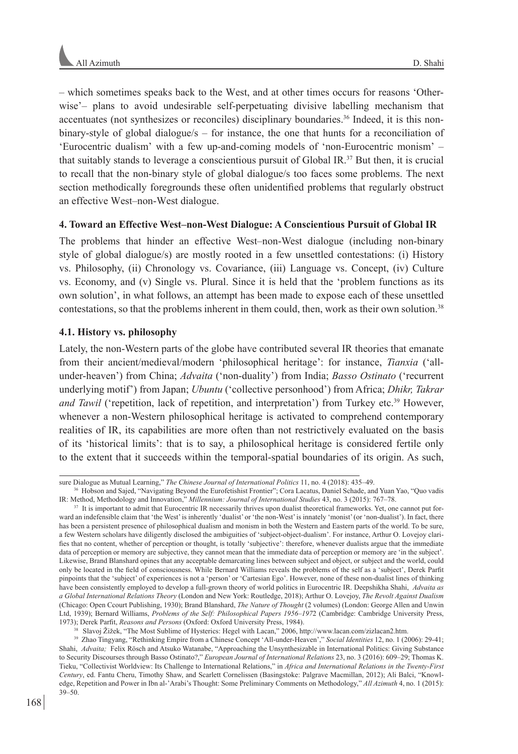– which sometimes speaks back to the West, and at other times occurs for reasons 'Otherwise'– plans to avoid undesirable self-perpetuating divisive labelling mechanism that accentuates (not synthesizes or reconciles) disciplinary boundaries.36 Indeed, it is this nonbinary-style of global dialogue/s – for instance, the one that hunts for a reconciliation of 'Eurocentric dualism' with a few up-and-coming models of 'non-Eurocentric monism' – that suitably stands to leverage a conscientious pursuit of Global IR.<sup>37</sup> But then, it is crucial to recall that the non-binary style of global dialogue/s too faces some problems. The next section methodically foregrounds these often unidentified problems that regularly obstruct an effective West–non-West dialogue.

## **4. Toward an Effective West–non-West Dialogue: A Conscientious Pursuit of Global IR**

The problems that hinder an effective West–non-West dialogue (including non-binary style of global dialogue/s) are mostly rooted in a few unsettled contestations: (i) History vs. Philosophy, (ii) Chronology vs. Covariance, (iii) Language vs. Concept, (iv) Culture vs. Economy, and (v) Single vs. Plural. Since it is held that the 'problem functions as its own solution', in what follows, an attempt has been made to expose each of these unsettled contestations, so that the problems inherent in them could, then, work as their own solution.<sup>38</sup>

# **4.1. History vs. philosophy**

Lately, the non-Western parts of the globe have contributed several IR theories that emanate from their ancient/medieval/modern 'philosophical heritage': for instance, *Tianxia* ('allunder-heaven') from China; *Advaita* ('non-duality') from India; *Basso Ostinato* ('recurrent underlying motif') from Japan; *Ubuntu* ('collective personhood') from Africa; *Dhikr, Takrar and Tawil* ('repetition, lack of repetition, and interpretation') from Turkey etc.<sup>39</sup> However, whenever a non-Western philosophical heritage is activated to comprehend contemporary realities of IR, its capabilities are more often than not restrictively evaluated on the basis of its 'historical limits': that is to say, a philosophical heritage is considered fertile only to the extent that it succeeds within the temporal-spatial boundaries of its origin. As such,

sure Dialogue as Mutual Learning," *The Chinese Journal of International Politics* 11, no. 4 (2018): 435–49.

<sup>36</sup> Hobson and Sajed, "Navigating Beyond the Eurofetishist Frontier"; Cora Lacatus, Daniel Schade, and Yuan Yao, "Quo vadis IR: Method, Methodology and Innovation," Millennium: Journal of International Studies 43, no. 3 (2015): 767–78.<br><sup>37</sup> It is important to admit that Eurocentric IR necessarily thrives upon dualist theoretical frameworks. Yet

ward an indefensible claim that 'the West' is inherently 'dualist' or 'the non-West' is innately 'monist' (or 'non-dualist'). In fact, there has been a persistent presence of philosophical dualism and monism in both the Western and Eastern parts of the world. To be sure, a few Western scholars have diligently disclosed the ambiguities of 'subject-object-dualism'. For instance, Arthur O. Lovejoy clarifies that no content, whether of perception or thought, is totally 'subjective': therefore, whenever dualists argue that the immediate data of perception or memory are subjective, they cannot mean that the immediate data of perception or memory are 'in the subject'. Likewise, Brand Blanshard opines that any acceptable demarcating lines between subject and object, or subject and the world, could only be located in the field of consciousness. While Bernard Williams reveals the problems of the self as a 'subject', Derek Parfit pinpoints that the 'subject' of experiences is not a 'person' or 'Cartesian Ego'. However, none of these non-dualist lines of thinking have been consistently employed to develop a full-grown theory of world politics in Eurocentric IR. Deepshikha Shahi, *Advaita as a Global International Relations Theory* (London and New York: Routledge, 2018); Arthur O. Lovejoy, *The Revolt Against Dualism* (Chicago: Open Ccourt Publishing, 1930); Brand Blanshard, *The Nature of Thought* (2 volumes) (London: George Allen and Unwin Ltd, 1939); Bernard Williams, *Problems of the Self: Philosophical Papers 1956–197*2 (Cambridge: Cambridge University Press, 1973); Derek Parfit, *Reasons and Persons* (Oxford: Oxford University Press, 1984).

<sup>&</sup>lt;sup>38</sup> Slavoj Žižek, "The Most Sublime of Hysterics: Hegel with Lacan," 2006, http://www.lacan.com/zizlacan2.htm.<br><sup>39</sup> Zhao Tingyang, "Rethinking Empire from a Chinese Concept 'All-under-Heaven'," Social Identities 12, no. 1 Shahi, *Advaita;* Felix Rösch and Atsuko Watanabe, "Approaching the Unsynthesizable in International Politics: Giving Substance to Security Discourses through Basso Ostinato?," *European Journal of International Relations* 23, no. 3 (2016): 609–29; Thomas K. Tieku, "Collectivist Worldview: Its Challenge to International Relations," in *Africa and International Relations in the Twenty-First Century*, ed. Fantu Cheru, Timothy Shaw, and Scarlett Cornelissen (Basingstoke: Palgrave Macmillan, 2012); Ali Balci, "Knowledge, Repetition and Power in Ibn al-'Arabi's Thought: Some Preliminary Comments on Methodology," *All Azimuth* 4, no. 1 (2015): 39–50.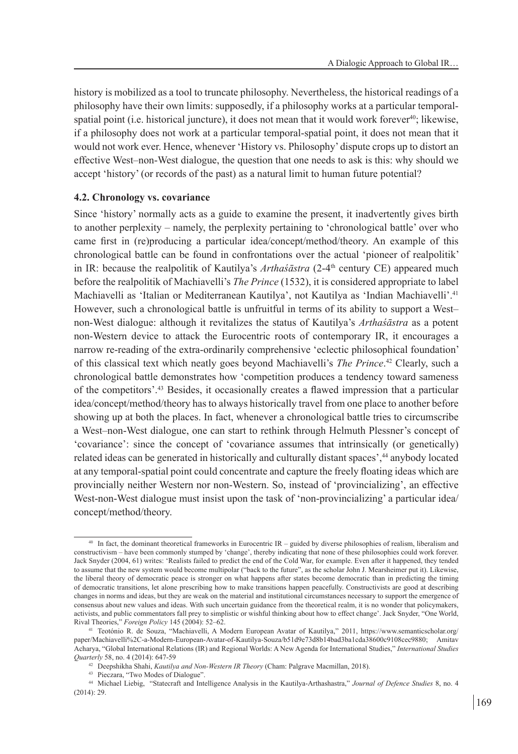history is mobilized as a tool to truncate philosophy. Nevertheless, the historical readings of a philosophy have their own limits: supposedly, if a philosophy works at a particular temporalspatial point (i.e. historical juncture), it does not mean that it would work forever $40$ ; likewise, if a philosophy does not work at a particular temporal-spatial point, it does not mean that it would not work ever. Hence, whenever 'History vs. Philosophy' dispute crops up to distort an effective West–non-West dialogue, the question that one needs to ask is this: why should we accept 'history' (or records of the past) as a natural limit to human future potential?

### **4.2. Chronology vs. covariance**

Since 'history' normally acts as a guide to examine the present, it inadvertently gives birth to another perplexity – namely, the perplexity pertaining to 'chronological battle' over who came first in (re)producing a particular idea/concept/method/theory. An example of this chronological battle can be found in confrontations over the actual 'pioneer of realpolitik' in IR: because the realpolitik of Kautilya's *Arthaśāstra* (2-4<sup>th</sup> century CE) appeared much before the realpolitik of Machiavelli's *The Prince* (1532), it is considered appropriate to label Machiavelli as 'Italian or Mediterranean Kautilya', not Kautilya as 'Indian Machiavelli'.<sup>41</sup> However, such a chronological battle is unfruitful in terms of its ability to support a West– non-West dialogue: although it revitalizes the status of Kautilya's *Arthaśāstra* as a potent non-Western device to attack the Eurocentric roots of contemporary IR, it encourages a narrow re-reading of the extra-ordinarily comprehensive 'eclectic philosophical foundation' of this classical text which neatly goes beyond Machiavelli's *The Prince*. 42 Clearly, such a chronological battle demonstrates how 'competition produces a tendency toward sameness of the competitors'.<sup>43</sup> Besides, it occasionally creates a flawed impression that a particular idea/concept/method/theory has to always historically travel from one place to another before showing up at both the places. In fact, whenever a chronological battle tries to circumscribe a West–non-West dialogue, one can start to rethink through Helmuth Plessner's concept of 'covariance': since the concept of 'covariance assumes that intrinsically (or genetically) related ideas can be generated in historically and culturally distant spaces',<sup>44</sup> anybody located at any temporal-spatial point could concentrate and capture the freely floating ideas which are provincially neither Western nor non-Western. So, instead of 'provincializing', an effective West-non-West dialogue must insist upon the task of 'non-provincializing' a particular idea/ concept/method/theory.

<sup>40</sup> In fact, the dominant theoretical frameworks in Eurocentric IR – guided by diverse philosophies of realism, liberalism and constructivism – have been commonly stumped by 'change', thereby indicating that none of these philosophies could work forever. Jack Snyder (2004, 61) writes: 'Realists failed to predict the end of the Cold War, for example. Even after it happened, they tended to assume that the new system would become multipolar ("back to the future", as the scholar John J. Mearsheimer put it). Likewise, the liberal theory of democratic peace is stronger on what happens after states become democratic than in predicting the timing of democratic transitions, let alone prescribing how to make transitions happen peacefully. Constructivists are good at describing changes in norms and ideas, but they are weak on the material and institutional circumstances necessary to support the emergence of consensus about new values and ideas. With such uncertain guidance from the theoretical realm, it is no wonder that policymakers, activists, and public commentators fall prey to simplistic or wishful thinking about how to effect change'. Jack Snyder, "One World, Rival Theories," *Foreign Policy* 145 (2004): 52–62.

<sup>41</sup> Teotónio R. de Souza, "Machiavelli, A Modern European Avatar of Kautilya," 2011, https://www.semanticscholar.org/ paper/Machiavelli%2C-a-Modern-European-Avatar-of-Kautilya-Souza/b51d9e73d8b14bad3ba1cda38600c9108cec9880; Amitav Acharya, "Global International Relations (IR) and Regional Worlds: A New Agenda for International Studies," *International Studies Quarterly* 58, no. 4 (2014): 647-59

<sup>42</sup> Deepshikha Shahi, *Kautilya and Non-Western IR Theory* (Cham: Palgrave Macmillan, 2018). 43 Pieczara, "Two Modes of Dialogue".

<sup>44</sup> Michael Liebig, "Statecraft and Intelligence Analysis in the Kautilya-Arthashastra," *Journal of Defence Studies* 8, no. 4 (2014): 29.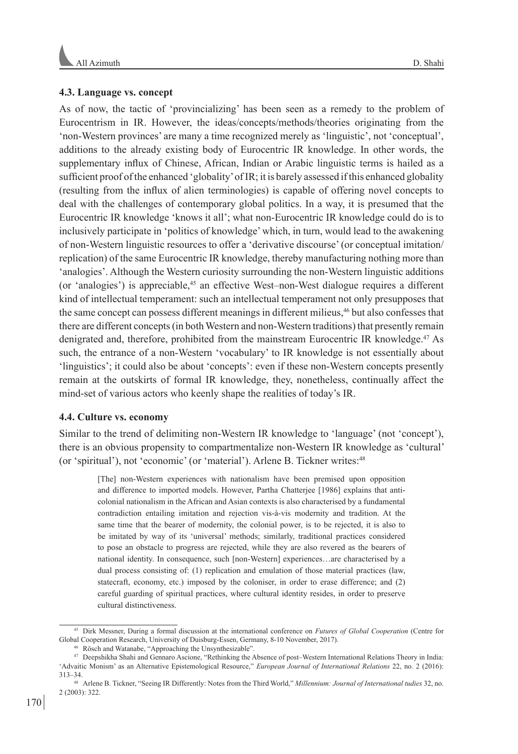## **4.3. Language vs. concept**

As of now, the tactic of 'provincializing' has been seen as a remedy to the problem of Eurocentrism in IR. However, the ideas/concepts/methods/theories originating from the 'non-Western provinces' are many a time recognized merely as 'linguistic', not 'conceptual', additions to the already existing body of Eurocentric IR knowledge. In other words, the supplementary influx of Chinese, African, Indian or Arabic linguistic terms is hailed as a sufficient proof of the enhanced 'globality' of IR; it is barely assessed if this enhanced globality (resulting from the influx of alien terminologies) is capable of offering novel concepts to deal with the challenges of contemporary global politics. In a way, it is presumed that the Eurocentric IR knowledge 'knows it all'; what non-Eurocentric IR knowledge could do is to inclusively participate in 'politics of knowledge' which, in turn, would lead to the awakening of non-Western linguistic resources to offer a 'derivative discourse' (or conceptual imitation/ replication) of the same Eurocentric IR knowledge, thereby manufacturing nothing more than 'analogies'. Although the Western curiosity surrounding the non-Western linguistic additions (or 'analogies') is appreciable,<sup>45</sup> an effective West–non-West dialogue requires a different kind of intellectual temperament: such an intellectual temperament not only presupposes that the same concept can possess different meanings in different milieus,46 but also confesses that there are different concepts (in both Western and non-Western traditions) that presently remain denigrated and, therefore, prohibited from the mainstream Eurocentric IR knowledge.<sup>47</sup> As such, the entrance of a non-Western 'vocabulary' to IR knowledge is not essentially about 'linguistics'; it could also be about 'concepts': even if these non-Western concepts presently remain at the outskirts of formal IR knowledge, they, nonetheless, continually affect the mind-set of various actors who keenly shape the realities of today's IR.

## **4.4. Culture vs. economy**

Similar to the trend of delimiting non-Western IR knowledge to 'language' (not 'concept'), there is an obvious propensity to compartmentalize non-Western IR knowledge as 'cultural' (or 'spiritual'), not 'economic' (or 'material'). Arlene B. Tickner writes:<sup>48</sup>

[The] non-Western experiences with nationalism have been premised upon opposition and difference to imported models. However, Partha Chatterjee [1986] explains that anticolonial nationalism in the African and Asian contexts is also characterised by a fundamental contradiction entailing imitation and rejection vis-à-vis modernity and tradition. At the same time that the bearer of modernity, the colonial power, is to be rejected, it is also to be imitated by way of its 'universal' methods; similarly, traditional practices considered to pose an obstacle to progress are rejected, while they are also revered as the bearers of national identity. In consequence, such [non-Western] experiences…are characterised by a dual process consisting of: (1) replication and emulation of those material practices (law, statecraft, economy, etc.) imposed by the coloniser, in order to erase difference; and (2) careful guarding of spiritual practices, where cultural identity resides, in order to preserve cultural distinctiveness.

<sup>45</sup> Dirk Messner, During a formal discussion at the international conference on *Futures of Global Cooperation* (Centre for Global Cooperation Research, University of Duisburg-Essen, Germany, 8-10 November, 2017).

Rösch and Watanabe, "Approaching the Unsynthesizable".

<sup>47</sup> Deepshikha Shahi and Gennaro Ascione, "Rethinking the Absence of post–Western International Relations Theory in India: 'Advaitic Monism' as an Alternative Epistemological Resource," *European Journal of International Relations* 22, no. 2 (2016): 313–34.

<sup>48</sup> Arlene B. Tickner, "Seeing IR Differently: Notes from the Third World," *Millennium: Journal of International tudies* 32, no. 2 (2003): 322.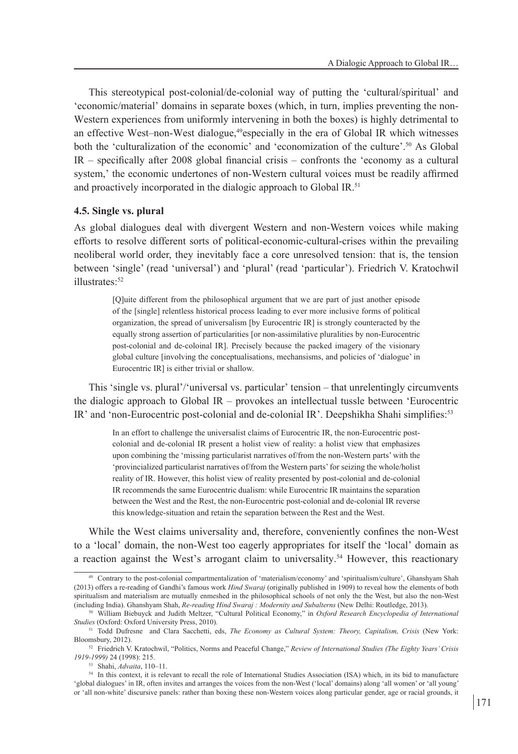This stereotypical post-colonial/de-colonial way of putting the 'cultural/spiritual' and 'economic/material' domains in separate boxes (which, in turn, implies preventing the non-Western experiences from uniformly intervening in both the boxes) is highly detrimental to an effective West–non-West dialogue,49especially in the era of Global IR which witnesses both the 'culturalization of the economic' and 'economization of the culture'.50 As Global IR – specifically after 2008 global financial crisis – confronts the 'economy as a cultural system,' the economic undertones of non-Western cultural voices must be readily affirmed and proactively incorporated in the dialogic approach to Global IR.<sup>51</sup>

### **4.5. Single vs. plural**

As global dialogues deal with divergent Western and non-Western voices while making efforts to resolve different sorts of political-economic-cultural-crises within the prevailing neoliberal world order, they inevitably face a core unresolved tension: that is, the tension between 'single' (read 'universal') and 'plural' (read 'particular'). Friedrich V. Kratochwil illustrates:52

[Q]uite different from the philosophical argument that we are part of just another episode of the [single] relentless historical process leading to ever more inclusive forms of political organization, the spread of universalism [by Eurocentric IR] is strongly counteracted by the equally strong assertion of particularities [or non-assimilative pluralities by non-Eurocentric post-colonial and de-coloinal IR]. Precisely because the packed imagery of the visionary global culture [involving the conceptualisations, mechansisms, and policies of 'dialogue' in Eurocentric IR] is either trivial or shallow.

This 'single vs. plural'/'universal vs. particular' tension – that unrelentingly circumvents the dialogic approach to Global IR – provokes an intellectual tussle between 'Eurocentric IR' and 'non-Eurocentric post-colonial and de-colonial IR'. Deepshikha Shahi simplifies:<sup>53</sup>

In an effort to challenge the universalist claims of Eurocentric IR, the non-Eurocentric postcolonial and de-colonial IR present a holist view of reality: a holist view that emphasizes upon combining the 'missing particularist narratives of/from the non-Western parts' with the 'provincialized particularist narratives of/from the Western parts' for seizing the whole/holist reality of IR. However, this holist view of reality presented by post-colonial and de-colonial IR recommends the same Eurocentric dualism: while Eurocentric IR maintains the separation between the West and the Rest, the non-Eurocentric post-colonial and de-colonial IR reverse this knowledge-situation and retain the separation between the Rest and the West.

While the West claims universality and, therefore, conveniently confines the non-West to a 'local' domain, the non-West too eagerly appropriates for itself the 'local' domain as a reaction against the West's arrogant claim to universality.54 However, this reactionary

Contrary to the post-colonial compartmentalization of 'materialism/economy' and 'spiritualism/culture', Ghanshyam Shah (2013) offers a re-reading of Gandhi's famous work *Hind Swaraj* (originally published in 1909) to reveal how the elements of both spiritualism and materialism are mutually enmeshed in the philosophical schools of not only the the West, but also the non-West (including India). Ghanshyam Shah, *Re-reading Hind Swaraj : Modernity and Subalterns* (New Delhi: Routledge, 2013).

<sup>50</sup> William Biebuyck and Judith Meltzer, "Cultural Political Economy," in *Oxford Research Encyclopedia of International Studies* (Oxford: Oxford University Press, 2010).

<sup>51</sup> Todd Dufresne and Clara Sacchetti, eds, *The Economy as Cultural System: Theory, Capitalism, Crisis* (New York: Bloomsbury, 2012).

<sup>52</sup> Friedrich V. Kratochwil, "Politics, Norms and Peaceful Change," *Review of International Studies (The Eighty Years' Crisis 1919-1999)* 24 (1998): 215.

<sup>53</sup> Shahi, *Advaita*, 110–11.

<sup>54</sup> In this context, it is relevant to recall the role of International Studies Association (ISA) which, in its bid to manufacture 'global dialogues' in IR, often invites and arranges the voices from the non-West ('local' domains) along 'all women' or 'all young' or 'all non-white' discursive panels: rather than boxing these non-Western voices along particular gender, age or racial grounds, it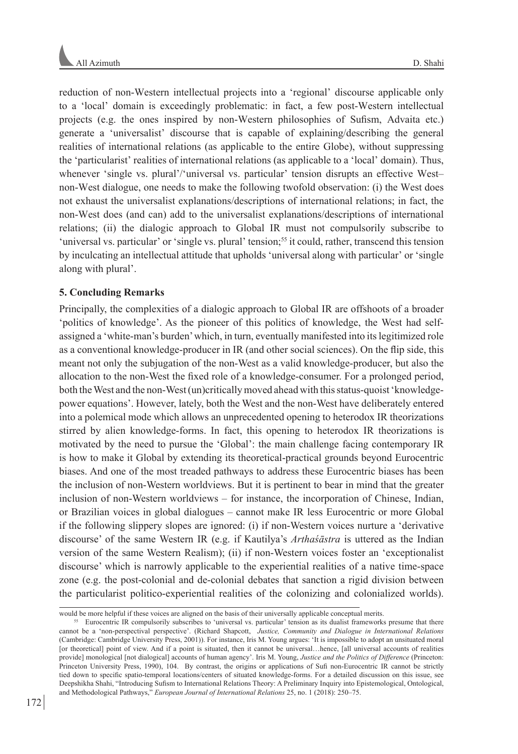reduction of non-Western intellectual projects into a 'regional' discourse applicable only to a 'local' domain is exceedingly problematic: in fact, a few post-Western intellectual projects (e.g. the ones inspired by non-Western philosophies of Sufism, Advaita etc.) generate a 'universalist' discourse that is capable of explaining/describing the general realities of international relations (as applicable to the entire Globe), without suppressing the 'particularist' realities of international relations (as applicable to a 'local' domain). Thus, whenever 'single vs. plural'/'universal vs. particular' tension disrupts an effective Westnon-West dialogue, one needs to make the following twofold observation: (i) the West does not exhaust the universalist explanations/descriptions of international relations; in fact, the non-West does (and can) add to the universalist explanations/descriptions of international relations; (ii) the dialogic approach to Global IR must not compulsorily subscribe to 'universal vs. particular' or 'single vs. plural' tension;<sup>55</sup> it could, rather, transcend this tension by inculcating an intellectual attitude that upholds 'universal along with particular' or 'single along with plural'.

## **5. Concluding Remarks**

Principally, the complexities of a dialogic approach to Global IR are offshoots of a broader 'politics of knowledge'. As the pioneer of this politics of knowledge, the West had selfassigned a 'white-man's burden' which, in turn, eventually manifested into its legitimized role as a conventional knowledge-producer in IR (and other social sciences). On the flip side, this meant not only the subjugation of the non-West as a valid knowledge-producer, but also the allocation to the non-West the fixed role of a knowledge-consumer. For a prolonged period, both the West and the non-West (un)critically moved ahead with this status-quoist 'knowledgepower equations'. However, lately, both the West and the non-West have deliberately entered into a polemical mode which allows an unprecedented opening to heterodox IR theorizations stirred by alien knowledge-forms. In fact, this opening to heterodox IR theorizations is motivated by the need to pursue the 'Global': the main challenge facing contemporary IR is how to make it Global by extending its theoretical-practical grounds beyond Eurocentric biases. And one of the most treaded pathways to address these Eurocentric biases has been the inclusion of non-Western worldviews. But it is pertinent to bear in mind that the greater inclusion of non-Western worldviews – for instance, the incorporation of Chinese, Indian, or Brazilian voices in global dialogues – cannot make IR less Eurocentric or more Global if the following slippery slopes are ignored: (i) if non-Western voices nurture a 'derivative discourse' of the same Western IR (e.g. if Kautilya's *Arthaśāstra* is uttered as the Indian version of the same Western Realism); (ii) if non-Western voices foster an 'exceptionalist discourse' which is narrowly applicable to the experiential realities of a native time-space zone (e.g. the post-colonial and de-colonial debates that sanction a rigid division between the particularist politico-experiential realities of the colonizing and colonialized worlds).

would be more helpful if these voices are aligned on the basis of their universally applicable conceptual merits.

<sup>&</sup>lt;sup>55</sup> Eurocentric IR compulsorily subscribes to 'universal vs. particular' tension as its dualist frameworks presume that there cannot be a 'non-perspectival perspective'. (Richard Shapcott, *Justice, Community and Dialogue in International Relations* (Cambridge: Cambridge University Press, 2001)). For instance, Iris M. Young argues: 'It is impossible to adopt an unsituated moral [or theoretical] point of view. And if a point is situated, then it cannot be universal…hence, [all universal accounts of realities provide] monological [not dialogical] accounts of human agency'. Iris M. Young, *Justice and the Politics of Difference* (Princeton: Princeton University Press, 1990), 104. By contrast, the origins or applications of Sufi non-Eurocentric IR cannot be strictly tied down to specific spatio-temporal locations/centers of situated knowledge-forms. For a detailed discussion on this issue, see Deepshikha Shahi, "Introducing Sufism to International Relations Theory: A Preliminary Inquiry into Epistemological, Ontological, and Methodological Pathways," *European Journal of International Relations* 25, no. 1 (2018): 250–75.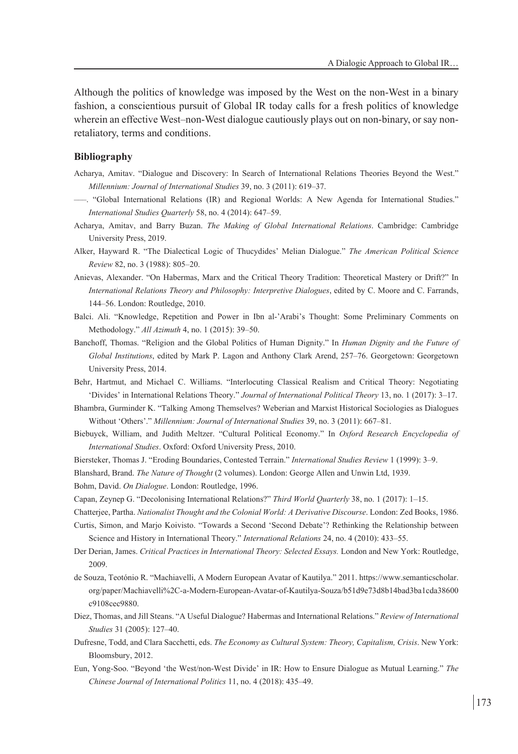Although the politics of knowledge was imposed by the West on the non-West in a binary fashion, a conscientious pursuit of Global IR today calls for a fresh politics of knowledge wherein an effective West–non-West dialogue cautiously plays out on non-binary, or say nonretaliatory, terms and conditions.

### **Bibliography**

- Acharya, Amitav. "Dialogue and Discovery: In Search of International Relations Theories Beyond the West." *Millennium: Journal of International Studies* 39, no. 3 (2011): 619–37.
- –––. "Global International Relations (IR) and Regional Worlds: A New Agenda for International Studies." *International Studies Quarterly* 58, no. 4 (2014): 647–59.
- Acharya, Amitav, and Barry Buzan. *The Making of Global International Relations*. Cambridge: Cambridge University Press, 2019.
- Alker, Hayward R. "The Dialectical Logic of Thucydides' Melian Dialogue." *The American Political Science Review* 82, no. 3 (1988): 805–20.
- Anievas, Alexander. "On Habermas, Marx and the Critical Theory Tradition: Theoretical Mastery or Drift?" In *International Relations Theory and Philosophy: Interpretive Dialogues*, edited by C. Moore and C. Farrands, 144–56. London: Routledge, 2010.
- Balci. Ali. "Knowledge, Repetition and Power in Ibn al-'Arabi's Thought: Some Preliminary Comments on Methodology." *All Azimuth* 4, no. 1 (2015): 39–50.
- Banchoff, Thomas. "Religion and the Global Politics of Human Dignity." In *Human Dignity and the Future of Global Institutions*, edited by Mark P. Lagon and Anthony Clark Arend, 257–76. Georgetown: Georgetown University Press, 2014.
- Behr, Hartmut, and Michael C. Williams. "Interlocuting Classical Realism and Critical Theory: Negotiating 'Divides' in International Relations Theory." *Journal of International Political Theory* 13, no. 1 (2017): 3–17.
- Bhambra, Gurminder K. "Talking Among Themselves? Weberian and Marxist Historical Sociologies as Dialogues Without 'Others'." *Millennium: Journal of International Studies* 39, no. 3 (2011): 667–81.
- Biebuyck, William, and Judith Meltzer. "Cultural Political Economy." In *Oxford Research Encyclopedia of International Studies*. Oxford: Oxford University Press, 2010.
- Biersteker, Thomas J. "Eroding Boundaries, Contested Terrain." *International Studies Review* 1 (1999): 3–9.
- Blanshard, Brand. *The Nature of Thought* (2 volumes). London: George Allen and Unwin Ltd, 1939.
- Bohm, David. *On Dialogue*. London: Routledge, 1996.
- Capan, Zeynep G. "Decolonising International Relations?" *Third World Quarterly* 38, no. 1 (2017): 1–15.
- Chatterjee, Partha. *Nationalist Thought and the Colonial World: A Derivative Discourse*. London: Zed Books, 1986.
- Curtis, Simon, and Marjo Koivisto. "Towards a Second 'Second Debate'? Rethinking the Relationship between Science and History in International Theory." *International Relations* 24, no. 4 (2010): 433–55.
- Der Derian, James. *Critical Practices in International Theory: Selected Essays.* London and New York: Routledge, 2009.
- de Souza, Teotónio R. "Machiavelli, A Modern European Avatar of Kautilya." 2011. https://www.semanticscholar. org/paper/Machiavelli%2C-a-Modern-European-Avatar-of-Kautilya-Souza/b51d9e73d8b14bad3ba1cda38600 c9108cec9880.
- Diez, Thomas, and Jill Steans. "A Useful Dialogue? Habermas and International Relations." *Review of International Studies* 31 (2005): 127–40.
- Dufresne, Todd, and Clara Sacchetti, eds. *The Economy as Cultural System: Theory, Capitalism, Crisis*. New York: Bloomsbury, 2012.
- Eun, Yong-Soo. "Beyond 'the West/non-West Divide' in IR: How to Ensure Dialogue as Mutual Learning." *The Chinese Journal of International Politics* 11, no. 4 (2018): 435–49.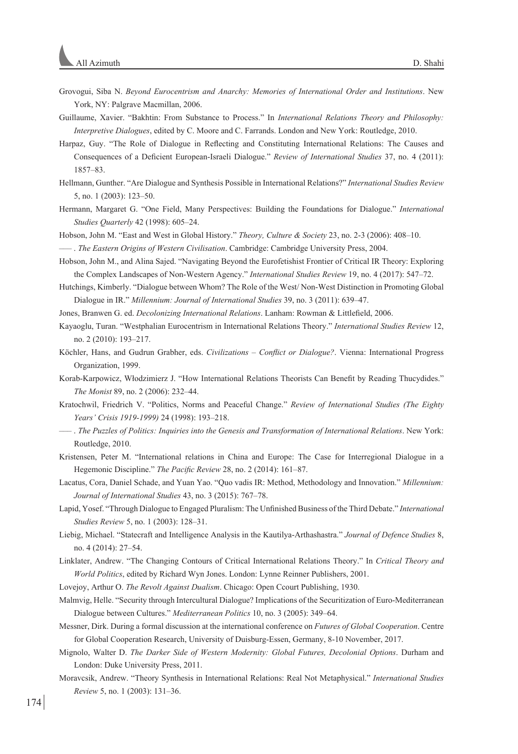- Grovogui, Siba N. *Beyond Eurocentrism and Anarchy: Memories of International Order and Institutions*. New York, NY: Palgrave Macmillan, 2006.
- Guillaume, Xavier. "Bakhtin: From Substance to Process." In *International Relations Theory and Philosophy: Interpretive Dialogues*, edited by C. Moore and C. Farrands. London and New York: Routledge, 2010.
- Harpaz, Guy. "The Role of Dialogue in Reflecting and Constituting International Relations: The Causes and Consequences of a Deficient European-Israeli Dialogue." *Review of International Studies* 37, no. 4 (2011): 1857–83.
- Hellmann, Gunther. "Are Dialogue and Synthesis Possible in International Relations?" *International Studies Review* 5, no. 1 (2003): 123–50.
- Hermann, Margaret G. "One Field, Many Perspectives: Building the Foundations for Dialogue." *International Studies Quarterly* 42 (1998): 605–24.
- Hobson, John M. "East and West in Global History." *Theory, Culture & Society* 23, no. 2-3 (2006): 408–10.

––– . *The Eastern Origins of Western Civilisation*. Cambridge: Cambridge University Press, 2004.

- Hobson, John M., and Alina Sajed. "Navigating Beyond the Eurofetishist Frontier of Critical IR Theory: Exploring the Complex Landscapes of Non-Western Agency." *International Studies Review* 19, no. 4 (2017): 547–72.
- Hutchings, Kimberly. "Dialogue between Whom? The Role of the West/ Non-West Distinction in Promoting Global Dialogue in IR." *Millennium: Journal of International Studies* 39, no. 3 (2011): 639–47.
- Jones, Branwen G. ed. *Decolonizing International Relations*. Lanham: Rowman & Littlefield, 2006.
- Kayaoglu, Turan. "Westphalian Eurocentrism in International Relations Theory." *International Studies Review* 12, no. 2 (2010): 193–217.
- Köchler, Hans, and Gudrun Grabher, eds. *Civilizations Conflict or Dialogue?*. Vienna: International Progress Organization, 1999.
- Korab-Karpowicz, Włodzimierz J. "How International Relations Theorists Can Benefit by Reading Thucydides." *The Monist* 89, no. 2 (2006): 232–44.
- Kratochwil, Friedrich V. "Politics, Norms and Peaceful Change." *Review of International Studies (The Eighty Years' Crisis 1919-1999)* 24 (1998): 193–218.
- ––– . *The Puzzles of Politics: Inquiries into the Genesis and Transformation of International Relations*. New York: Routledge, 2010.
- Kristensen, Peter M. "International relations in China and Europe: The Case for Interregional Dialogue in a Hegemonic Discipline." *The Pacific Review* 28, no. 2 (2014): 161–87.
- Lacatus, Cora, Daniel Schade, and Yuan Yao. "Quo vadis IR: Method, Methodology and Innovation." *Millennium: Journal of International Studies* 43, no. 3 (2015): 767–78.
- Lapid, Yosef. "Through Dialogue to Engaged Pluralism: The Unfinished Business of the Third Debate." *International Studies Review* 5, no. 1 (2003): 128–31.
- Liebig, Michael. "Statecraft and Intelligence Analysis in the Kautilya-Arthashastra." *Journal of Defence Studies* 8, no. 4 (2014): 27–54.
- Linklater, Andrew. "The Changing Contours of Critical International Relations Theory." In *Critical Theory and World Politics*, edited by Richard Wyn Jones. London: Lynne Reinner Publishers, 2001.
- Lovejoy, Arthur O. *The Revolt Against Dualism*. Chicago: Open Ccourt Publishing, 1930.
- Malmvig, Helle. "Security through Intercultural Dialogue? Implications of the Securitization of Euro-Mediterranean Dialogue between Cultures." *Mediterranean Politics* 10, no. 3 (2005): 349–64.
- Messner, Dirk. During a formal discussion at the international conference on *Futures of Global Cooperation*. Centre for Global Cooperation Research, University of Duisburg-Essen, Germany, 8-10 November, 2017.
- Mignolo, Walter D. *The Darker Side of Western Modernity: Global Futures, Decolonial Options*. Durham and London: Duke University Press, 2011.
- Moravcsik, Andrew. "Theory Synthesis in International Relations: Real Not Metaphysical." *International Studies Review* 5, no. 1 (2003): 131–36.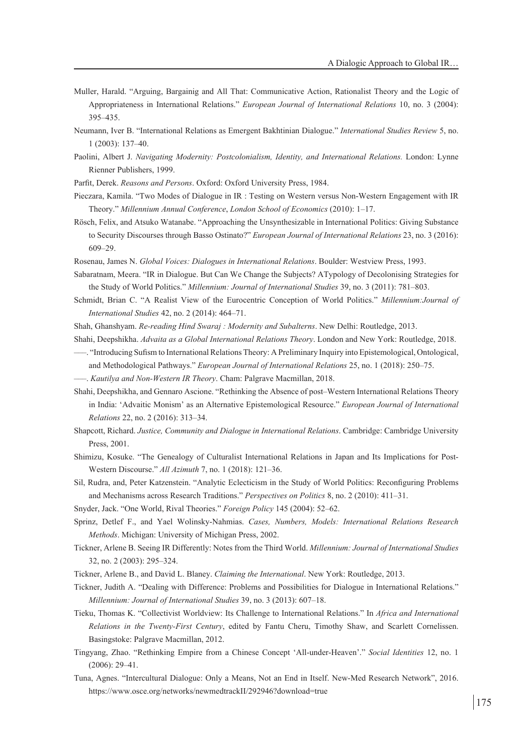- Muller, Harald. "Arguing, Bargainig and All That: Communicative Action, Rationalist Theory and the Logic of Appropriateness in International Relations." *European Journal of International Relations* 10, no. 3 (2004): 395–435.
- Neumann, Iver B. "International Relations as Emergent Bakhtinian Dialogue." *International Studies Review* 5, no. 1 (2003): 137–40.
- Paolini, Albert J. *Navigating Modernity: Postcolonialism, Identity, and International Relations*. London: Lynne Rienner Publishers, 1999.
- Parfit, Derek. *Reasons and Persons*. Oxford: Oxford University Press, 1984.
- Pieczara, Kamila. "Two Modes of Dialogue in IR : Testing on Western versus Non-Western Engagement with IR Theory." *Millennium Annual Conference*, *London School of Economics* (2010): 1–17.
- Rösch, Felix, and Atsuko Watanabe. "Approaching the Unsynthesizable in International Politics: Giving Substance to Security Discourses through Basso Ostinato?" *European Journal of International Relations* 23, no. 3 (2016): 609–29.
- Rosenau, James N. *Global Voices: Dialogues in International Relations*. Boulder: Westview Press, 1993.
- Sabaratnam, Meera. "IR in Dialogue. But Can We Change the Subjects? ATypology of Decolonising Strategies for the Study of World Politics." *Millennium: Journal of International Studies* 39, no. 3 (2011): 781–803.
- Schmidt, Brian C. "A Realist View of the Eurocentric Conception of World Politics." *Millennium:Journal of International Studies* 42, no. 2 (2014): 464–71.
- Shah, Ghanshyam. *Re-reading Hind Swaraj : Modernity and Subalterns*. New Delhi: Routledge, 2013.
- Shahi, Deepshikha. *Advaita as a Global International Relations Theory*. London and New York: Routledge, 2018.
- –––. "Introducing Sufism to International Relations Theory: A Preliminary Inquiry into Epistemological, Ontological, and Methodological Pathways." *European Journal of International Relations* 25, no. 1 (2018): 250–75.
- –––. *Kautilya and Non-Western IR Theory*. Cham: Palgrave Macmillan, 2018.
- Shahi, Deepshikha, and Gennaro Ascione. "Rethinking the Absence of post–Western International Relations Theory in India: 'Advaitic Monism' as an Alternative Epistemological Resource." *European Journal of International Relations* 22, no. 2 (2016): 313–34.
- Shapcott, Richard. *Justice, Community and Dialogue in International Relations*. Cambridge: Cambridge University Press, 2001.
- Shimizu, Kosuke. "The Genealogy of Culturalist International Relations in Japan and Its Implications for Post-Western Discourse." *All Azimuth* 7, no. 1 (2018): 121–36.
- Sil, Rudra, and, Peter Katzenstein. "Analytic Eclecticism in the Study of World Politics: Reconfiguring Problems and Mechanisms across Research Traditions." *Perspectives on Politics* 8, no. 2 (2010): 411–31.
- Snyder, Jack. "One World, Rival Theories." *Foreign Policy* 145 (2004): 52–62.
- Sprinz, Detlef F., and Yael Wolinsky-Nahmias. *Cases, Numbers, Models: International Relations Research Methods*. Michigan: University of Michigan Press, 2002.
- Tickner, Arlene B. Seeing IR Differently: Notes from the Third World. *Millennium: Journal of International Studies* 32, no. 2 (2003): 295–324.
- Tickner, Arlene B., and David L. Blaney. *Claiming the International*. New York: Routledge, 2013.
- Tickner, Judith A. "Dealing with Difference: Problems and Possibilities for Dialogue in International Relations." *Millennium: Journal of International Studies* 39, no. 3 (2013): 607–18.
- Tieku, Thomas K. "Collectivist Worldview: Its Challenge to International Relations." In *Africa and International Relations in the Twenty-First Century*, edited by Fantu Cheru, Timothy Shaw, and Scarlett Cornelissen. Basingstoke: Palgrave Macmillan, 2012.
- Tingyang, Zhao. "Rethinking Empire from a Chinese Concept 'All-under-Heaven'." *Social Identities* 12, no. 1 (2006): 29–41.
- Tuna, Agnes. "Intercultural Dialogue: Only a Means, Not an End in Itself. New-Med Research Network", 2016. https://www.osce.org/networks/newmedtrackII/292946?download=true